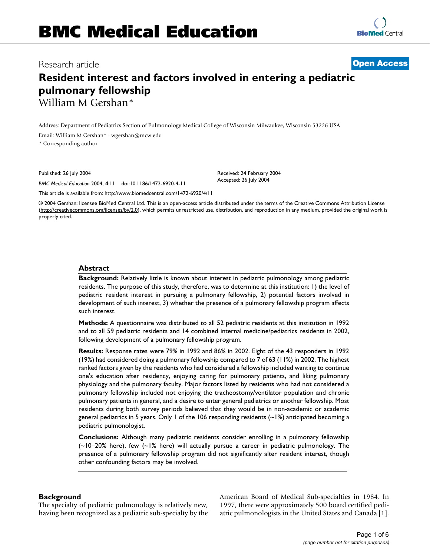# Research article **[Open Access](http://www.biomedcentral.com/info/about/charter/)**

# **Resident interest and factors involved in entering a pediatric pulmonary fellowship** William M Gershan\*

Address: Department of Pediatrics Section of Pulmonology Medical College of Wisconsin Milwaukee, Wisconsin 53226 USA

Email: William M Gershan\* - wgershan@mcw.edu

\* Corresponding author

Published: 26 July 2004

*BMC Medical Education* 2004, **4**:11 doi:10.1186/1472-6920-4-11

[This article is available from: http://www.biomedcentral.com/1472-6920/4/11](http://www.biomedcentral.com/1472-6920/4/11)

© 2004 Gershan; licensee BioMed Central Ltd. This is an open-access article distributed under the terms of the Creative Commons Attribution License (<http://creativecommons.org/licenses/by/2.0>), which permits unrestricted use, distribution, and reproduction in any medium, provided the original work is properly cited.

Received: 24 February 2004 Accepted: 26 July 2004

#### **Abstract**

**Background:** Relatively little is known about interest in pediatric pulmonology among pediatric residents. The purpose of this study, therefore, was to determine at this institution: 1) the level of pediatric resident interest in pursuing a pulmonary fellowship, 2) potential factors involved in development of such interest, 3) whether the presence of a pulmonary fellowship program affects such interest.

**Methods:** A questionnaire was distributed to all 52 pediatric residents at this institution in 1992 and to all 59 pediatric residents and 14 combined internal medicine/pediatrics residents in 2002, following development of a pulmonary fellowship program.

**Results:** Response rates were 79% in 1992 and 86% in 2002. Eight of the 43 responders in 1992 (19%) had considered doing a pulmonary fellowship compared to 7 of 63 (11%) in 2002. The highest ranked factors given by the residents who had considered a fellowship included wanting to continue one's education after residency, enjoying caring for pulmonary patients, and liking pulmonary physiology and the pulmonary faculty. Major factors listed by residents who had not considered a pulmonary fellowship included not enjoying the tracheostomy/ventilator population and chronic pulmonary patients in general, and a desire to enter general pediatrics or another fellowship. Most residents during both survey periods believed that they would be in non-academic or academic general pediatrics in 5 years. Only 1 of the 106 responding residents  $(-1%)$  anticipated becoming a pediatric pulmonologist.

**Conclusions:** Although many pediatric residents consider enrolling in a pulmonary fellowship (~10–20% here), few (~1% here) will actually pursue a career in pediatric pulmonology. The presence of a pulmonary fellowship program did not significantly alter resident interest, though other confounding factors may be involved.

#### **Background**

The specialty of pediatric pulmonology is relatively new, having been recognized as a pediatric sub-specialty by the American Board of Medical Sub-specialties in 1984. In 1997, there were approximately 500 board certified pediatric pulmonologists in the United States and Canada [1].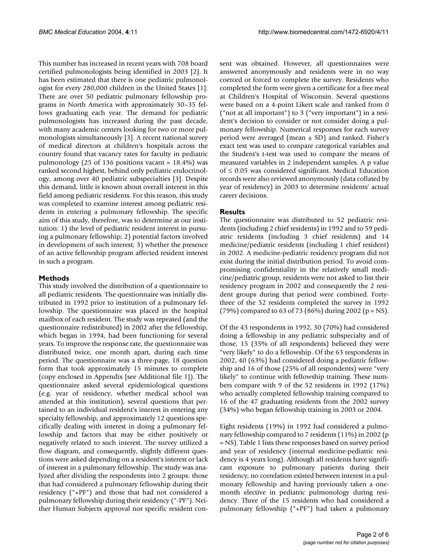This number has increased in recent years with 708 board certified pulmonologists being identified in 2003 [2]. It has been estimated that there is one pediatric pulmonologist for every 280,000 children in the United States [1]. There are over 50 pediatric pulmonary fellowship programs in North America with approximately 30–35 fellows graduating each year. The demand for pediatric pulmonologists has increased during the past decade, with many academic centers looking for two or more pulmonologists simultaneously [3]. A recent national survey of medical directors at children's hospitals across the country found that vacancy rates for faculty in pediatric pulmonology (25 of 136 positions vacant =  $18.4\%$ ) was ranked second highest, behind only pediatric endocrinology, among over 40 pediatric subspecialties [3]. Despite this demand, little is known about overall interest in this field among pediatric residents. For this reason, this study was completed to examine interest among pediatric residents in entering a pulmonary fellowship. The specific aim of this study, therefore, was to determine at our institution: 1) the level of pediatric resident interest in pursuing a pulmonary fellowship; 2) potential factors involved in development of such interest; 3) whether the presence of an active fellowship program affected resident interest in such a program.

### **Methods**

This study involved the distribution of a questionnaire to all pediatric residents. The questionnaire was initially distributed in 1992 prior to institution of a pulmonary fellowship. The questionnaire was placed in the hospital mailbox of each resident. The study was repeated (and the questionnaire redistributed) in 2002 after the fellowship, which began in 1994, had been functioning for several years. To improve the response rate, the questionnaire was distributed twice, one month apart, during each time period. The questionnaire was a three-page, 18 question form that took approximately 15 minutes to complete (copy enclosed in Appendix [see Additional file 1]). The questionnaire asked several epidemiological questions (e.g. year of residency, whether medical school was attended at this institution), several questions that pertained to an individual resident's interest in entering any specialty fellowship, and approximately 12 questions specifically dealing with interest in doing a pulmonary fellowship and factors that may be either positively or negatively related to such interest. The survey utilized a flow diagram, and consequently, slightly different questions were asked depending on a resident's interest or lack of interest in a pulmonary fellowship. The study was analyzed after dividing the respondents into 2 groups: those that had considered a pulmonary fellowship during their residency ("+PF") and those that had not considered a pulmonary fellowship during their residency ("-PF"). Neither Human Subjects approval nor specific resident consent was obtained. However, all questionnaires were answered anonymously and residents were in no way coerced or forced to complete the survey. Residents who completed the form were given a certificate for a free meal at Children's Hospital of Wisconsin. Several questions were based on a 4-point Likert scale and ranked from 0 ("not at all important") to 3 ("very important") in a resident's decision to consider or not consider doing a pulmonary fellowship. Numerical responses for each survey period were averaged (mean  $\pm$  SD) and ranked. Fisher's exact test was used to compare categorical variables and the Student's t-test was used to compare the means of measured variables in 2 independent samples. A p value of ≤ 0.05 was considered significant. Medical Education records were also reviewed anonymously (data collated by year of residency) in 2003 to determine residents' actual career decisions.

# **Results**

The questionnaire was distributed to 52 pediatric residents (including 2 chief residents) in 1992 and to 59 pediatric residents (including 3 chief residents) and 14 medicine/pediatric residents (including 1 chief resident) in 2002. A medicine-pediatric residency program did not exist during the initial distribution period. To avoid compromising confidentiality in the relatively small medicine/pediatric group, residents were not asked to list their residency program in 2002 and consequently the 2 resident groups during that period were combined. Fortythree of the 52 residents completed the survey in 1992 (79%) compared to 63 of 73 (86%) during 2002 (p = NS).

Of the 43 respondents in 1992, 30 (70%) had considered doing a fellowship in any pediatric subspecialty and of those, 15 (35% of all respondents) believed they were "very likely" to do a fellowship. Of the 63 respondents in 2002, 40 (63%) had considered doing a pediatric fellowship and 16 of those (25% of all respondents) were "very likely" to continue with fellowship training. These numbers compare with 9 of the 52 residents in 1992 (17%) who actually completed fellowship training compared to 16 of the 47 graduating residents from the 2002 survey (34%) who began fellowship training in 2003 or 2004.

Eight residents (19%) in 1992 had considered a pulmonary fellowship compared to 7 residents (11%) in 2002 (p = NS). Table [1](#page-2-0) lists these responses based on survey period and year of residency (internal medicine-pediatric residency is 4 years long). Although all residents have significant exposure to pulmonary patients during their residency, no correlation existed between interest in a pulmonary fellowship and having previously taken a onemonth elective in pediatric pulmonology during residency. Three of the 15 residents who had considered a pulmonary fellowship ("+PF") had taken a pulmonary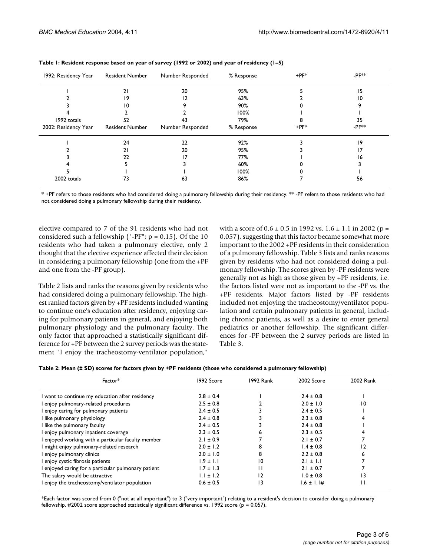| 1992: Residency Year | <b>Resident Number</b> | Number Responded | % Response | $+$ PF $*$ | $-$ PF $*$         |
|----------------------|------------------------|------------------|------------|------------|--------------------|
|                      | 21                     | 20               | 95%        |            | 15                 |
|                      | 19                     | 12               | 63%        |            | 10                 |
|                      | 10                     |                  | 90%        |            |                    |
|                      |                        |                  | 100%       |            |                    |
| 1992 totals          | 52                     | 43               | 79%        |            | 35                 |
| 2002: Residency Year | <b>Resident Number</b> | Number Responded | % Response | $+$ PF $*$ | -PF <sup>*</sup> * |
|                      | 24                     | 22               | 92%        |            | 19                 |
|                      | ا 2                    | 20               | 95%        |            | 17                 |
|                      | 22                     |                  | 77%        |            | 16                 |
|                      |                        |                  | 60%        |            |                    |
|                      |                        |                  | 100%       |            |                    |
| 2002 totals          | 73                     | 63               | 86%        |            | 56                 |

<span id="page-2-0"></span>

| Table I: Resident response based on year of survey (1992 or 2002) and year of residency (1-5) |  |
|-----------------------------------------------------------------------------------------------|--|
|-----------------------------------------------------------------------------------------------|--|

\* +PF refers to those residents who had considered doing a pulmonary fellowship during their residency. \*\* -PF refers to those residents who had not considered doing a pulmonary fellowship during their residency.

elective compared to 7 of the 91 residents who had not considered such a fellowship ("-PF";  $p = 0.15$ ). Of the 10 residents who had taken a pulmonary elective, only 2 thought that the elective experience affected their decision in considering a pulmonary fellowship (one from the +PF and one from the -PF group).

Table [2](#page-2-1) lists and ranks the reasons given by residents who had considered doing a pulmonary fellowship. The highest ranked factors given by +PF residents included wanting to continue one's education after residency, enjoying caring for pulmonary patients in general, and enjoying both pulmonary physiology and the pulmonary faculty. The only factor that approached a statistically significant difference for +PF between the 2 survey periods was the statement "I enjoy the tracheostomy-ventilator population,"

with a score of  $0.6 \pm 0.5$  in 1992 vs.  $1.6 \pm 1.1$  in 2002 (p = 0.057), suggesting that this factor became somewhat more important to the 2002 +PF residents in their consideration of a pulmonary fellowship. Table [3](#page-3-0) lists and ranks reasons given by residents who had not considered doing a pulmonary fellowship. The scores given by -PF residents were generally not as high as those given by +PF residents, i.e. the factors listed were not as important to the -PF vs. the +PF residents. Major factors listed by -PF residents included not enjoying the tracheostomy/ventilator population and certain pulmonary patients in general, including chronic patients, as well as a desire to enter general pediatrics or another fellowship. The significant differences for -PF between the 2 survey periods are listed in Table [3.](#page-3-0)

<span id="page-2-1"></span>

|  |  |  | Table 2: Mean (± SD) scores for factors given by +PF residents (those who considered a pulmonary fellowship) |  |  |
|--|--|--|--------------------------------------------------------------------------------------------------------------|--|--|
|--|--|--|--------------------------------------------------------------------------------------------------------------|--|--|

| Factor*                                             | 1992 Score    | 1992 Rank       | 2002 Score      | 2002 Rank       |
|-----------------------------------------------------|---------------|-----------------|-----------------|-----------------|
| I want to continue my education after residency     | $2.8 \pm 0.4$ |                 | $2.4 \pm 0.8$   |                 |
| I enjoy pulmonary-related procedures                | $2.5 \pm 0.8$ |                 | $2.0 \pm 1.0$   | 10              |
| I enjoy caring for pulmonary patients               | $2.4 \pm 0.5$ |                 | $2.4 \pm 0.5$   |                 |
| I like pulmonary physiology                         | $2.4 \pm 0.8$ |                 | $2.3 + 0.8$     |                 |
| I like the pulmonary faculty                        | $2.4 \pm 0.5$ |                 | $2.4 \pm 0.8$   |                 |
| I enjoy pulmonary inpatient coverage                | $2.3 \pm 0.5$ |                 | $2.3 \pm 0.5$   |                 |
| I enjoyed working with a particular faculty member  | $2.1 \pm 0.9$ |                 | $2.1 + 0.7$     |                 |
| I might enjoy pulmonary-related research            | $2.0 \pm 1.2$ |                 | $1.4 \pm 0.8$   | 12              |
| I enjoy pulmonary clinics                           | $2.0 \pm 1.0$ | 8               | $2.2 \pm 0.8$   |                 |
| I enjoy cystic fibrosis patients                    | $1.9 \pm 1.1$ | 10              | $2.1 \pm 1.1$   |                 |
| I enjoyed caring for a particular pulmonary patient | $1.7 \pm 1.3$ |                 | $2.1 \pm 0.7$   |                 |
| The salary would be attractive                      | $1.1 \pm 1.2$ | 12              | $1.0 \pm 0.8$   | $\overline{13}$ |
| I enjoy the tracheostomy/ventilator population      | $0.6 \pm 0.5$ | $\overline{13}$ | $1.6 \pm 1.1$ # | П               |

\*Each factor was scored from 0 ("not at all important") to 3 ("very important") relating to a resident's decision to consider doing a pulmonary fellowship.  $\#2002$  score approached statistically significant difference vs. 1992 score ( $p = 0.057$ ).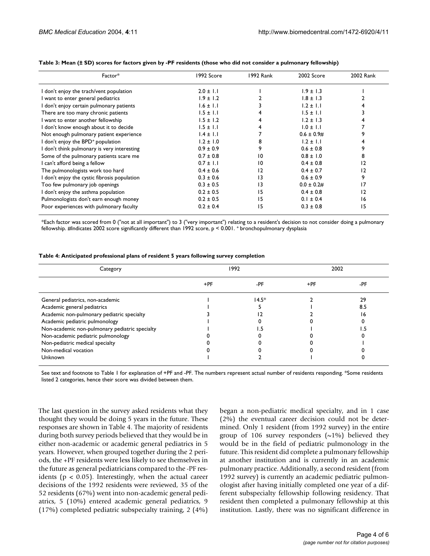| Factor*                                      | 1992 Score    | 1992 Rank      | 2002 Score      | 2002 Rank |
|----------------------------------------------|---------------|----------------|-----------------|-----------|
| I don't enjoy the trach/vent population      | $2.0 \pm 1.1$ |                | $1.9 \pm 1.3$   |           |
| I want to enter general pediatrics           | $1.9 \pm 1.2$ |                | $1.8 \pm 1.3$   |           |
| I don't enjoy certain pulmonary patients     | $1.6 \pm 1.1$ |                | $1.2 \pm 1.1$   |           |
| There are too many chronic patients          | $1.5 \pm 1.1$ |                | $1.5 \pm 1.1$   |           |
| I want to enter another fellowship           | $1.5 \pm 1.2$ |                | $1.2 \pm 1.3$   |           |
| I don't know enough about it to decide       | $1.5 \pm 1.1$ |                | $1.0 \pm 1.1$   |           |
| Not enough pulmonary patient experience      | $1.4 \pm 1.1$ |                | $0.6 \pm 0.9$ # |           |
| I don't enjoy the BPD+ population            | $1.2 \pm 1.0$ |                | $1.2 \pm 1.1$   |           |
| I don't think pulmonary is very interesting  | $0.9 \pm 0.9$ | 9              | $0.6 \pm 0.8$   | 9         |
| Some of the pulmonary patients scare me      | $0.7 \pm 0.8$ | 10             | $0.8 \pm 1.0$   | 8         |
| I can't afford being a fellow                | $0.7 \pm 1.1$ | 10             | $0.4 \pm 0.8$   | 12        |
| The pulmonologists work too hard             | $0.4 \pm 0.6$ | $\overline{2}$ | $0.4 \pm 0.7$   | 12        |
| I don't enjoy the cystic fibrosis population | $0.3 \pm 0.6$ | 13             | $0.6 \pm 0.9$   | 9         |
| Too few pulmonary job openings               | $0.3 \pm 0.5$ | 13             | $0.0 \pm 0.2$ # | 17        |
| I don't enjoy the asthma population          | $0.2 \pm 0.5$ | 15             | $0.4 \pm 0.8$   | 12        |
| Pulmonologists don't earn enough money       | $0.2 \pm 0.5$ | 15             | $0.1 \pm 0.4$   | 16        |
| Poor experiences with pulmonary faculty      | $0.2 \pm 0.4$ | 15             | $0.3 \pm 0.8$   | 15        |

#### <span id="page-3-0"></span>**Table 3: Mean (± SD) scores for factors given by -PF residents (those who did not consider a pulmonary fellowship)**

\*Each factor was scored from 0 ("not at all important") to 3 ("very important") relating to a resident's decision to not consider doing a pulmonary fellowship. #Indicates 2002 score significantly different than 1992 score, p < 0.001. + bronchopulmonary dysplasia

<span id="page-3-1"></span>

| Table 4: Anticipated professional plans of resident 5 years following survey completion |  |  |  |
|-----------------------------------------------------------------------------------------|--|--|--|
|-----------------------------------------------------------------------------------------|--|--|--|

| Category                                       | 1992  |         | 2002  |     |
|------------------------------------------------|-------|---------|-------|-----|
|                                                | $+PF$ | -PF     | $+PF$ | -PF |
| General pediatrics, non-academic               |       | $14.5*$ |       | 29  |
| Academic general pediatrics                    |       |         |       | 8.5 |
| Academic non-pulmonary pediatric specialty     |       |         |       | 16  |
| Academic pediatric pulmonology                 |       |         |       |     |
| Non-academic non-pulmonary pediatric specialty |       |         |       |     |
| Non-academic pediatric pulmonology             |       |         |       |     |
| Non-pediatric medical specialty                |       |         |       |     |
| Non-medical vocation                           |       |         |       |     |
| Unknown                                        |       |         |       |     |

See text and footnote to Table 1 for explanation of +PF and -PF. The numbers represent actual number of residents responding. \*Some residents listed 2 categories, hence their score was divided between them.

The last question in the survey asked residents what they thought they would be doing 5 years in the future. These responses are shown in Table [4](#page-3-1). The majority of residents during both survey periods believed that they would be in either non-academic or academic general pediatrics in 5 years. However, when grouped together during the 2 periods, the +PF residents were less likely to see themselves in the future as general pediatricians compared to the -PF residents ( $p < 0.05$ ). Interestingly, when the actual career decisions of the 1992 residents were reviewed, 35 of the 52 residents (67%) went into non-academic general pediatrics, 5 (10%) entered academic general pediatrics, 9 (17%) completed pediatric subspecialty training, 2 (4%) began a non-pediatric medical specialty, and in 1 case (2%) the eventual career decision could not be determined. Only 1 resident (from 1992 survey) in the entire group of 106 survey responders  $(\sim 1\%)$  believed they would be in the field of pediatric pulmonology in the future. This resident did complete a pulmonary fellowship at another institution and is currently in an academic pulmonary practice. Additionally, a second resident (from 1992 survey) is currently an academic pediatric pulmonologist after having initially completed one year of a different subspecialty fellowship following residency. That resident then completed a pulmonary fellowship at this institution. Lastly, there was no significant difference in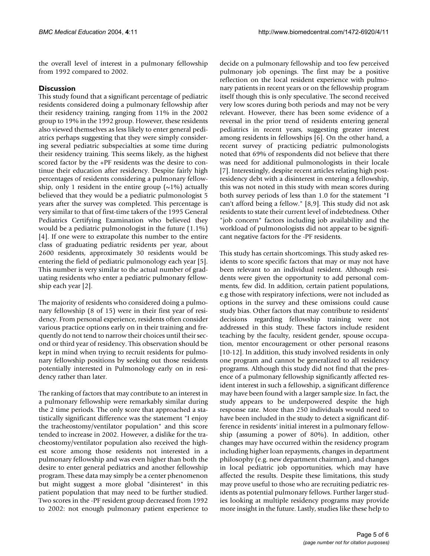the overall level of interest in a pulmonary fellowship from 1992 compared to 2002.

# **Discussion**

This study found that a significant percentage of pediatric residents considered doing a pulmonary fellowship after their residency training, ranging from 11% in the 2002 group to 19% in the 1992 group. However, these residents also viewed themselves as less likely to enter general pediatrics perhaps suggesting that they were simply considering several pediatric subspecialties at some time during their residency training. This seems likely, as the highest scored factor by the +PF residents was the desire to continue their education after residency. Despite fairly high percentages of residents considering a pulmonary fellowship, only 1 resident in the entire group  $(\sim 1\%)$  actually believed that they would be a pediatric pulmonologist 5 years after the survey was completed. This percentage is very similar to that of first-time takers of the 1995 General Pediatrics Certifying Examination who believed they would be a pediatric pulmonologist in the future (1.1%) [4]. If one were to extrapolate this number to the entire class of graduating pediatric residents per year, about 2600 residents, approximately 30 residents would be entering the field of pediatric pulmonology each year [5]. This number is very similar to the actual number of graduating residents who enter a pediatric pulmonary fellowship each year [2].

The majority of residents who considered doing a pulmonary fellowship (8 of 15) were in their first year of residency. From personal experience, residents often consider various practice options early on in their training and frequently do not tend to narrow their choices until their second or third year of residency. This observation should be kept in mind when trying to recruit residents for pulmonary fellowship positions by seeking out those residents potentially interested in Pulmonology early on in residency rather than later.

The ranking of factors that may contribute to an interest in a pulmonary fellowship were remarkably similar during the 2 time periods. The only score that approached a statistically significant difference was the statement "I enjoy the tracheostomy/ventilator population" and this score tended to increase in 2002. However, a dislike for the tracheostomy/ventilator population also received the highest score among those residents not interested in a pulmonary fellowship and was even higher than both the desire to enter general pediatrics and another fellowship program. These data may simply be a center phenomenon but might suggest a more global "disinterest" in this patient population that may need to be further studied. Two scores in the -PF resident group decreased from 1992 to 2002: not enough pulmonary patient experience to

decide on a pulmonary fellowship and too few perceived pulmonary job openings. The first may be a positive reflection on the local resident experience with pulmonary patients in recent years or on the fellowship program itself though this is only speculative. The second received very low scores during both periods and may not be very relevant. However, there has been some evidence of a reversal in the prior trend of residents entering general pediatrics in recent years, suggesting greater interest among residents in fellowships [6]. On the other hand, a recent survey of practicing pediatric pulmonologists noted that 69% of respondents did not believe that there was need for additional pulmonologists in their locale [7]. Interestingly, despite recent articles relating high postresidency debt with a disinterest in entering a fellowship, this was not noted in this study with mean scores during both survey periods of less than 1.0 for the statement "I can't afford being a fellow." [8,9]. This study did not ask residents to state their current level of indebtedness. Other "job concern" factors including job availability and the workload of pulmonologists did not appear to be significant negative factors for the -PF residents.

This study has certain shortcomings. This study asked residents to score specific factors that may or may not have been relevant to an individual resident. Although residents were given the opportunity to add personal comments, few did. In addition, certain patient populations, e.g those with respiratory infections, were not included as options in the survey and these omissions could cause study bias. Other factors that may contribute to residents' decisions regarding fellowship training were not addressed in this study. These factors include resident teaching by the faculty, resident gender, spouse occupation, mentor encouragement or other personal reasons [10-12]. In addition, this study involved residents in only one program and cannot be generalized to all residency programs. Although this study did not find that the presence of a pulmonary fellowship significantly affected resident interest in such a fellowship, a significant difference may have been found with a larger sample size. In fact, the study appears to be underpowered despite the high response rate. More than 250 individuals would need to have been included in the study to detect a significant difference in residents' initial interest in a pulmonary fellowship (assuming a power of 80%). In addition, other changes may have occurred within the residency program including higher loan repayments, changes in department philosophy (e.g. new department chairman), and changes in local pediatric job opportunities, which may have affected the results. Despite these limitations, this study may prove useful to those who are recruiting pediatric residents as potential pulmonary fellows. Further larger studies looking at multiple residency programs may provide more insight in the future. Lastly, studies like these help to